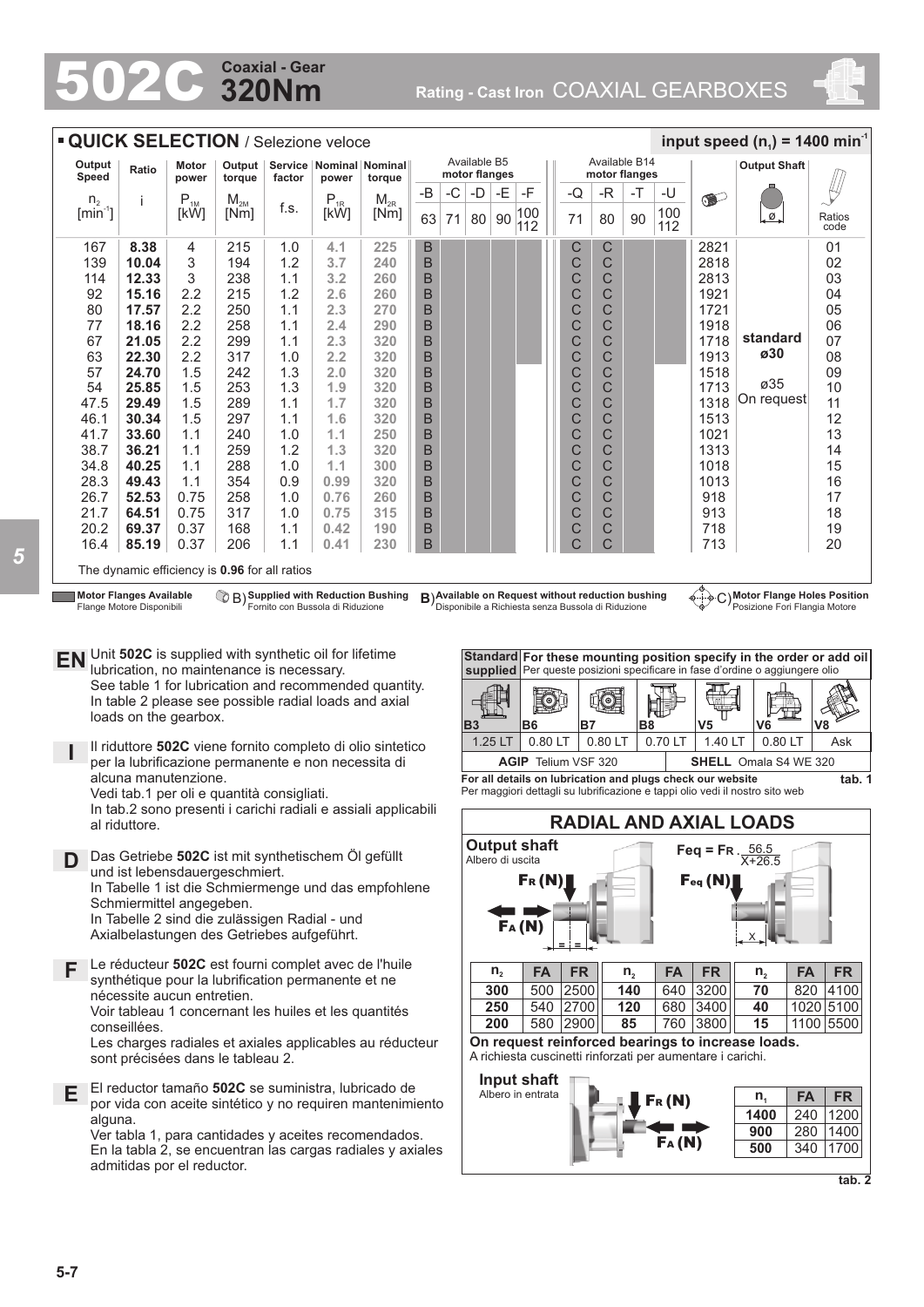# **320Nm Coaxial - Gear**

502C **Rating - Cast Iron** COAXIAL GEARBOXES



| <b>QUICK SELECTION / Selezione veloce</b><br>input speed $(n_1)$ = 1400 min <sup>-1</sup> |                                               |                       |                  |        |                                                  |          |    |                                                                 |    |    |            |  |    |          |      |            |           |                      |                |
|-------------------------------------------------------------------------------------------|-----------------------------------------------|-----------------------|------------------|--------|--------------------------------------------------|----------|----|-----------------------------------------------------------------|----|----|------------|--|----|----------|------|------------|-----------|----------------------|----------------|
| Output<br><b>Speed</b>                                                                    | Ratio                                         | <b>Motor</b><br>power | Output<br>torque | factor | Service   Nominal   Nominal  <br>power<br>torque |          |    | Available B14<br>Available B5<br>motor flanges<br>motor flanges |    |    |            |  |    |          |      |            |           |                      |                |
| n <sub>2</sub>                                                                            |                                               | $P_{1M}$              | $M_{2M}$         |        | $P_{1R}$                                         | $M_{2R}$ | -B | $-C$                                                            | -D | -E | -F         |  | -Q | -R       | $-T$ | -U         | $\bullet$ |                      |                |
| $[min^{-1}]$                                                                              |                                               | [kW]                  | [Nm]             | f.s.   | [kW]                                             | [Nm]     | 63 | 71                                                              | 80 | 90 | 100<br>112 |  | 71 | 90<br>80 |      | 100<br>112 |           | $\overline{\bullet}$ | Ratios<br>code |
| 167                                                                                       | 8.38                                          | 4                     | 215              | 1.0    | 4.1                                              | 225      | B  |                                                                 |    |    |            |  | С  | C        |      |            | 2821      |                      | 01             |
| 139                                                                                       | 10.04                                         | 3                     | 194              | 1.2    | 3.7                                              | 240      | B  |                                                                 |    |    |            |  | C  | C        |      |            | 2818      |                      | 02             |
| 114                                                                                       | 12.33                                         | 3                     | 238              | 1.1    | 3.2                                              | 260      | B  |                                                                 |    |    |            |  | C  | C        |      |            | 2813      |                      | 03             |
| 92                                                                                        | 15.16                                         | 2.2                   | 215              | 1.2    | 2.6                                              | 260      | B  |                                                                 |    |    |            |  | C  | C        |      |            | 1921      |                      | 04             |
| 80                                                                                        | 17.57                                         | 2.2                   | 250              | 1.1    | 2.3                                              | 270      | B  |                                                                 |    |    |            |  | C  | C        |      |            | 1721      |                      | 05             |
| 77                                                                                        | 18.16                                         | 2.2                   | 258              | 1.1    | 2.4                                              | 290      | B  |                                                                 |    |    |            |  | C  | C        |      |            | 1918      |                      | 06             |
| 67                                                                                        | 21.05                                         | 2.2                   | 299              | 1.1    | 2.3                                              | 320      | B  |                                                                 |    |    |            |  | C  | C        |      |            | 1718      | standard             | 07             |
| 63                                                                                        | 22.30                                         | 2.2                   | 317              | 1.0    | 2.2                                              | 320      | B  |                                                                 |    |    |            |  | C  | C        |      |            | 1913      | ø30                  | 08             |
| 57                                                                                        | 24.70                                         | 1.5                   | 242              | 1.3    | 2.0                                              | 320      | B  |                                                                 |    |    |            |  | C  | C        |      |            | 1518      |                      | 09             |
| 54                                                                                        | 25.85                                         | 1.5                   | 253              | 1.3    | 1.9                                              | 320      | B  |                                                                 |    |    |            |  | C  | C        |      |            | 1713      | ø35                  | 10             |
| 47.5                                                                                      | 29.49                                         | 1.5                   | 289              | 1.1    | 1.7                                              | 320      | B  |                                                                 |    |    |            |  | C  | C        |      |            | 1318      | On request           | 11             |
| 46.1                                                                                      | 30.34                                         | 1.5                   | 297              | 1.1    | 1.6                                              | 320      | B  |                                                                 |    |    |            |  | C  | C        |      |            | 1513      |                      | 12             |
| 41.7                                                                                      | 33.60                                         | 1.1                   | 240              | 1.0    | 1.1                                              | 250      | B  |                                                                 |    |    |            |  | C  | C        |      |            | 1021      |                      | 13             |
| 38.7                                                                                      | 36.21                                         | 1.1                   | 259              | 1.2    | 1.3                                              | 320      | B  |                                                                 |    |    |            |  | C  | C        |      |            | 1313      |                      | 14             |
| 34.8                                                                                      | 40.25                                         | 1.1                   | 288              | 1.0    | 1.1                                              | 300      | B  |                                                                 |    |    |            |  | C  | C        |      |            | 1018      |                      | 15             |
| 28.3                                                                                      | 49.43                                         | 1.1                   | 354              | 0.9    | 0.99                                             | 320      | B  |                                                                 |    |    |            |  | C  | C        |      |            | 1013      |                      | 16             |
| 26.7                                                                                      | 52.53                                         | 0.75                  | 258              | 1.0    | 0.76                                             | 260      | B  |                                                                 |    |    |            |  | C  | C        |      |            | 918       |                      | 17             |
| 21.7                                                                                      | 64.51                                         | 0.75                  | 317              | 1.0    | 0.75                                             | 315      | B  |                                                                 |    |    |            |  | C  | C        |      |            | 913       |                      | 18             |
| 20.2                                                                                      | 69.37                                         | 0.37                  | 168              | 1.1    | 0.42                                             | 190      | B  |                                                                 |    |    |            |  | C  | C        |      |            | 718       |                      | 19             |
| 16.4                                                                                      | 85.19                                         | 0.37                  | 206              | 1.1    | 0.41                                             | 230      | B  |                                                                 |    |    |            |  | C  | C        |      |            | 713       |                      | 20             |
|                                                                                           | The dynamic efficiency is 0.96 for all ratios |                       |                  |        |                                                  |          |    |                                                                 |    |    |            |  |    |          |      |            |           |                      |                |

**Motor Flanges Available** Flange Motore Disponibili

**Supplied with Reduction Bushing** Fornito con Bussola di Riduzione

**Available on Request without reduction bushing** Disponibile a Richiesta senza Bussola di Riduzione B) **B**) C)

**Motor Flange Holes Position** Posizione Fori Flangia Motore

**EN** Unit **502C** is supplied with synthetic oil for lifetime lubrication, no maintenance is necessary. See table 1 for lubrication and recommended quantity. In table 2 please see possible radial loads and axial loads on the gearbox.

**I** Il riduttore **502C** viene fornito completo di olio sintetico per la lubrificazione permanente e non necessita di alcuna manutenzione.

Vedi tab.1 per oli e quantità consigliati. In tab.2 sono presenti i carichi radiali e assiali applicabili

al riduttore.

- **D** Das Getriebe **502C** ist mit synthetischem Öl gefüllt und ist lebensdauergeschmiert. In Tabelle 1 ist die Schmiermenge und das empfohlene Schmiermittel angegeben. In Tabelle 2 sind die zulässigen Radial - und Axialbelastungen des Getriebes aufgeführt.
- **F** Le réducteur **502C** est fourni complet avec de l'huile synthétique pour la lubrification permanente et ne nécessite aucun entretien. Voir tableau 1 concernant les huiles et les quantités conseillées.

Les charges radiales et axiales applicables au réducteur sont précisées dans le tableau 2.

**E** El reductor tamaño **502C** se suministra, lubricado de por vida con aceite sintético y no requiren mantenimiento alguna.

Ver tabla 1, para cantidades y aceites recomendados. En la tabla 2, se encuentran las cargas radiales y axiales admitidas por el reductor.



Per maggiori dettagli su lubrificazione e tappi olio vedi il nostro sito web